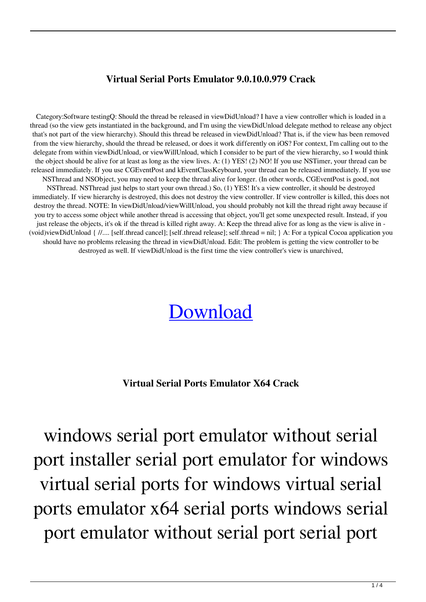## **Virtual Serial Ports Emulator 9.0.10.0.979 Crack**

Category:Software testingQ: Should the thread be released in viewDidUnload? I have a view controller which is loaded in a thread (so the view gets instantiated in the background, and I'm using the viewDidUnload delegate method to release any object that's not part of the view hierarchy). Should this thread be released in viewDidUnload? That is, if the view has been removed from the view hierarchy, should the thread be released, or does it work differently on iOS? For context, I'm calling out to the delegate from within viewDidUnload, or viewWillUnload, which I consider to be part of the view hierarchy, so I would think the object should be alive for at least as long as the view lives. A: (1) YES! (2) NO! If you use NSTimer, your thread can be released immediately. If you use CGEventPost and kEventClassKeyboard, your thread can be released immediately. If you use NSThread and NSObject, you may need to keep the thread alive for longer. (In other words, CGEventPost is good, not NSThread. NSThread just helps to start your own thread.) So, (1) YES! It's a view controller, it should be destroyed immediately. If view hierarchy is destroyed, this does not destroy the view controller. If view controller is killed, this does not destroy the thread. NOTE: In viewDidUnload/viewWillUnload, you should probably not kill the thread right away because if you try to access some object while another thread is accessing that object, you'll get some unexpected result. Instead, if you just release the objects, it's ok if the thread is killed right away. A: Keep the thread alive for as long as the view is alive in - (void)viewDidUnload { //.... [self.thread cancel]; [self.thread release]; self.thread = nil; } A: For a typical Cocoa application you should have no problems releasing the thread in viewDidUnload. Edit: The problem is getting the view controller to be destroyed as well. If viewDidUnload is the first time the view controller's view is unarchived,

## [Download](http://evacdir.com/caltrate/deodorising=dmlydHVhbCBzZXJpYWwgcG9ydHMgZW11bGF0b3IgeDY0IGNyYWNrdml/bowler=genesan/ZG93bmxvYWR8cmE1Wkc0d1pIeDhNVFkxTlRnME1qazRNWHg4TWpVNE4zeDhLRTBwSUVobGNtOXJkU0JiUm1GemRDQkhSVTVk/fusion=impossibly.oomph)

## **Virtual Serial Ports Emulator X64 Crack**

windows serial port emulator without serial port installer serial port emulator for windows virtual serial ports for windows virtual serial ports emulator x64 serial ports windows serial port emulator without serial port serial port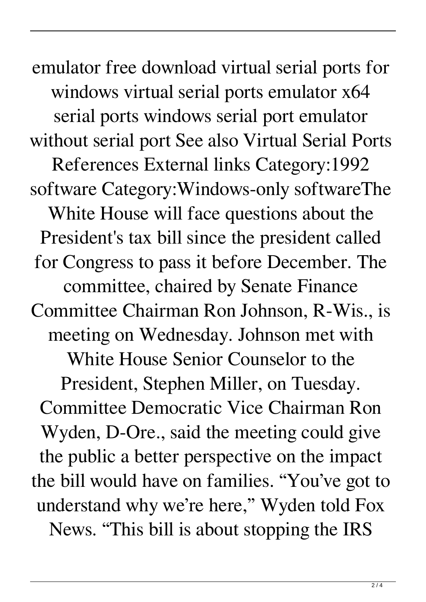emulator free download virtual serial ports for windows virtual serial ports emulator x64 serial ports windows serial port emulator without serial port See also Virtual Serial Ports References External links Category:1992 software Category:Windows-only softwareThe White House will face questions about the President's tax bill since the president called for Congress to pass it before December. The committee, chaired by Senate Finance Committee Chairman Ron Johnson, R-Wis., is meeting on Wednesday. Johnson met with White House Senior Counselor to the President, Stephen Miller, on Tuesday. Committee Democratic Vice Chairman Ron Wyden, D-Ore., said the meeting could give the public a better perspective on the impact the bill would have on families. "You've got to understand why we're here," Wyden told Fox News. "This bill is about stopping the IRS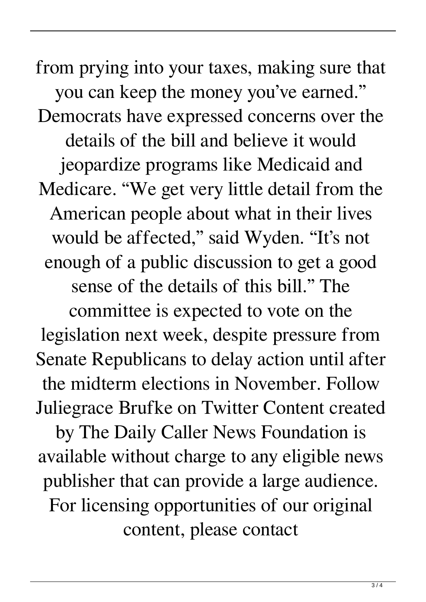from prying into your taxes, making sure that you can keep the money you've earned." Democrats have expressed concerns over the details of the bill and believe it would jeopardize programs like Medicaid and Medicare. "We get very little detail from the American people about what in their lives would be affected," said Wyden. "It's not enough of a public discussion to get a good sense of the details of this bill." The committee is expected to vote on the legislation next week, despite pressure from Senate Republicans to delay action until after the midterm elections in November. Follow Juliegrace Brufke on Twitter Content created by The Daily Caller News Foundation is available without charge to any eligible news publisher that can provide a large audience. For licensing opportunities of our original

content, please contact